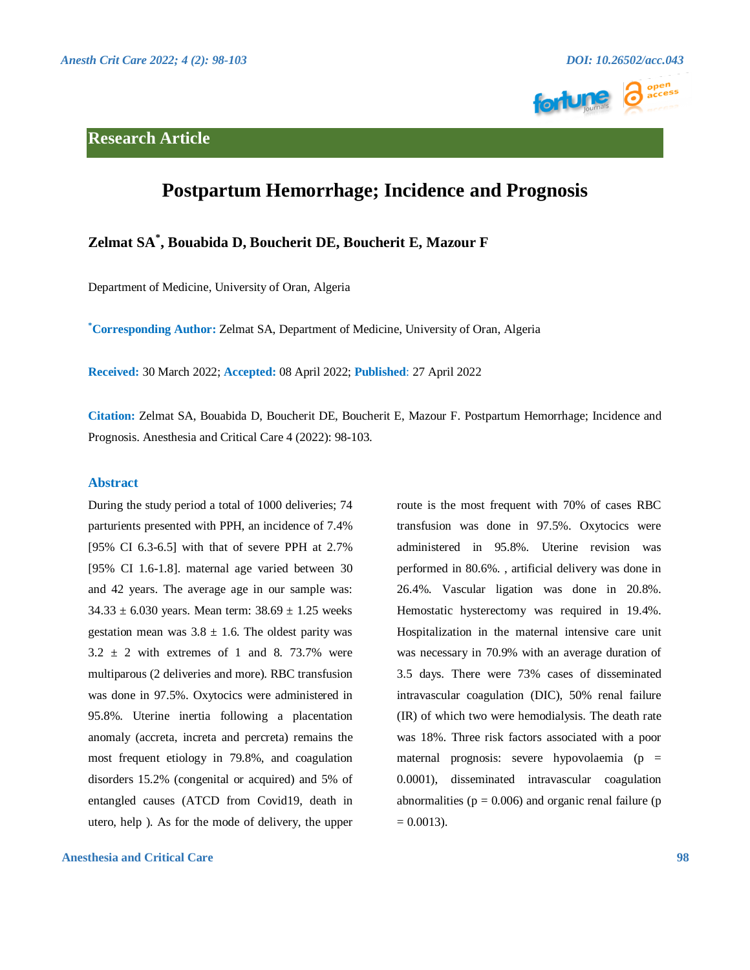## **Research Article**





# **Postpartum Hemorrhage; Incidence and Prognosis**

## **Zelmat SA\* , Bouabida D, Boucherit DE, Boucherit E, Mazour F**

Department of Medicine, University of Oran, Algeria

**\*Corresponding Author:** Zelmat SA, Department of Medicine, University of Oran, Algeria

**Received:** 30 March 2022; **Accepted:** 08 April 2022; **Published**: 27 April 2022

**Citation:** Zelmat SA, Bouabida D, Boucherit DE, Boucherit E, Mazour F. Postpartum Hemorrhage; Incidence and Prognosis. Anesthesia and Critical Care 4 (2022): 98-103.

#### **Abstract**

During the study period a total of 1000 deliveries; 74 parturients presented with PPH, an incidence of 7.4% [95% CI 6.3-6.5] with that of severe PPH at 2.7% [95% CI 1.6-1.8]. maternal age varied between 30 and 42 years. The average age in our sample was:  $34.33 \pm 6.030$  years. Mean term:  $38.69 \pm 1.25$  weeks gestation mean was  $3.8 \pm 1.6$ . The oldest parity was  $3.2 \pm 2$  with extremes of 1 and 8. 73.7% were multiparous (2 deliveries and more). RBC transfusion was done in 97.5%. Oxytocics were administered in 95.8%. Uterine inertia following a placentation anomaly (accreta, increta and percreta) remains the most frequent etiology in 79.8%, and coagulation disorders 15.2% (congenital or acquired) and 5% of entangled causes (ATCD from Covid19, death in utero, help ). As for the mode of delivery, the upper

**Anesthesia and Critical Care 98**

route is the most frequent with 70% of cases RBC transfusion was done in 97.5%. Oxytocics were administered in 95.8%. Uterine revision was performed in 80.6%. , artificial delivery was done in 26.4%. Vascular ligation was done in 20.8%. Hemostatic hysterectomy was required in 19.4%. Hospitalization in the maternal intensive care unit was necessary in 70.9% with an average duration of 3.5 days. There were 73% cases of disseminated intravascular coagulation (DIC), 50% renal failure (IR) of which two were hemodialysis. The death rate was 18%. Three risk factors associated with a poor maternal prognosis: severe hypovolaemia (p = 0.0001), disseminated intravascular coagulation abnormalities ( $p = 0.006$ ) and organic renal failure ( $p = 0.006$ )  $= 0.0013$ .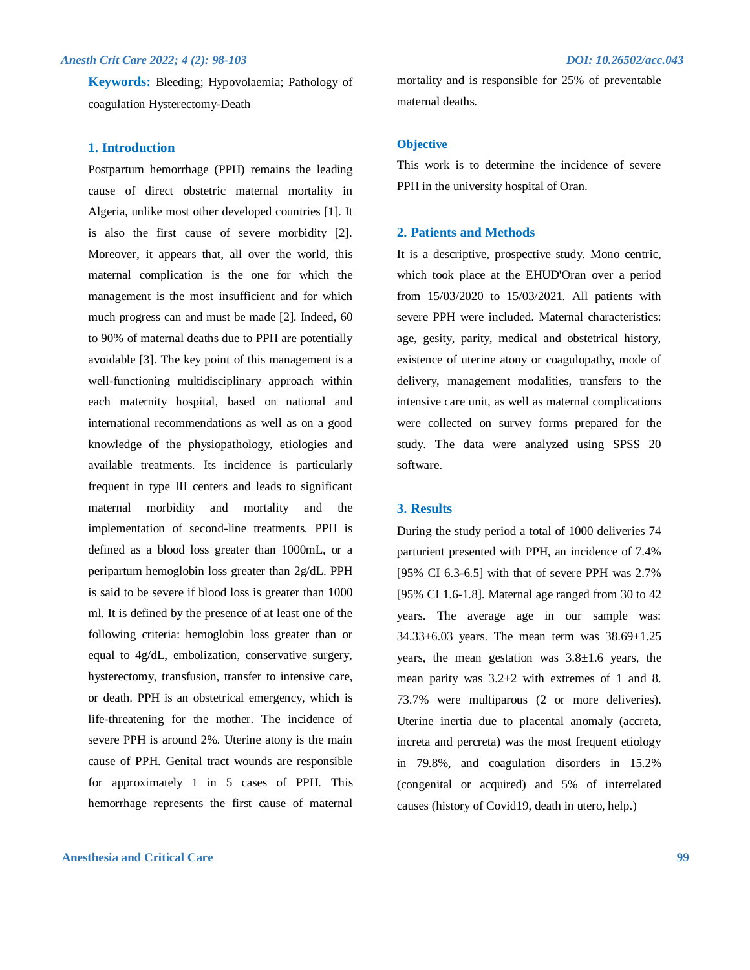### *Anesth Crit Care 2022; 4 (2): 98-103 DOI: 10.26502/acc.043*

**Keywords:** Bleeding; Hypovolaemia; Pathology of coagulation Hysterectomy-Death

#### **1. Introduction**

Postpartum hemorrhage (PPH) remains the leading cause of direct obstetric maternal mortality in Algeria, unlike most other developed countries [1]. It is also the first cause of severe morbidity [2]. Moreover, it appears that, all over the world, this maternal complication is the one for which the management is the most insufficient and for which much progress can and must be made [2]. Indeed, 60 to 90% of maternal deaths due to PPH are potentially avoidable [3]. The key point of this management is a well-functioning multidisciplinary approach within each maternity hospital, based on national and international recommendations as well as on a good knowledge of the physiopathology, etiologies and available treatments. Its incidence is particularly frequent in type III centers and leads to significant maternal morbidity and mortality and the implementation of second-line treatments. PPH is defined as a blood loss greater than 1000mL, or a peripartum hemoglobin loss greater than 2g/dL. PPH is said to be severe if blood loss is greater than 1000 ml. It is defined by the presence of at least one of the following criteria: hemoglobin loss greater than or equal to 4g/dL, embolization, conservative surgery, hysterectomy, transfusion, transfer to intensive care, or death. PPH is an obstetrical emergency, which is life-threatening for the mother. The incidence of severe PPH is around 2%. Uterine atony is the main cause of PPH. Genital tract wounds are responsible for approximately 1 in 5 cases of PPH. This hemorrhage represents the first cause of maternal

### **Anesthesia and Critical Care 99**

mortality and is responsible for 25% of preventable maternal deaths.

#### **Objective**

This work is to determine the incidence of severe PPH in the university hospital of Oran.

#### **2. Patients and Methods**

It is a descriptive, prospective study. Mono centric, which took place at the EHUD'Oran over a period from 15/03/2020 to 15/03/2021. All patients with severe PPH were included. Maternal characteristics: age, gesity, parity, medical and obstetrical history, existence of uterine atony or coagulopathy, mode of delivery, management modalities, transfers to the intensive care unit, as well as maternal complications were collected on survey forms prepared for the study. The data were analyzed using SPSS 20 software.

#### **3. Results**

During the study period a total of 1000 deliveries 74 parturient presented with PPH, an incidence of 7.4% [95% CI 6.3-6.5] with that of severe PPH was 2.7% [95% CI 1.6-1.8]. Maternal age ranged from 30 to 42 years. The average age in our sample was: 34.33±6.03 years. The mean term was 38.69±1.25 years, the mean gestation was 3.8±1.6 years, the mean parity was 3.2±2 with extremes of 1 and 8. 73.7% were multiparous (2 or more deliveries). Uterine inertia due to placental anomaly (accreta, increta and percreta) was the most frequent etiology in 79.8%, and coagulation disorders in 15.2% (congenital or acquired) and 5% of interrelated causes (history of Covid19, death in utero, help.)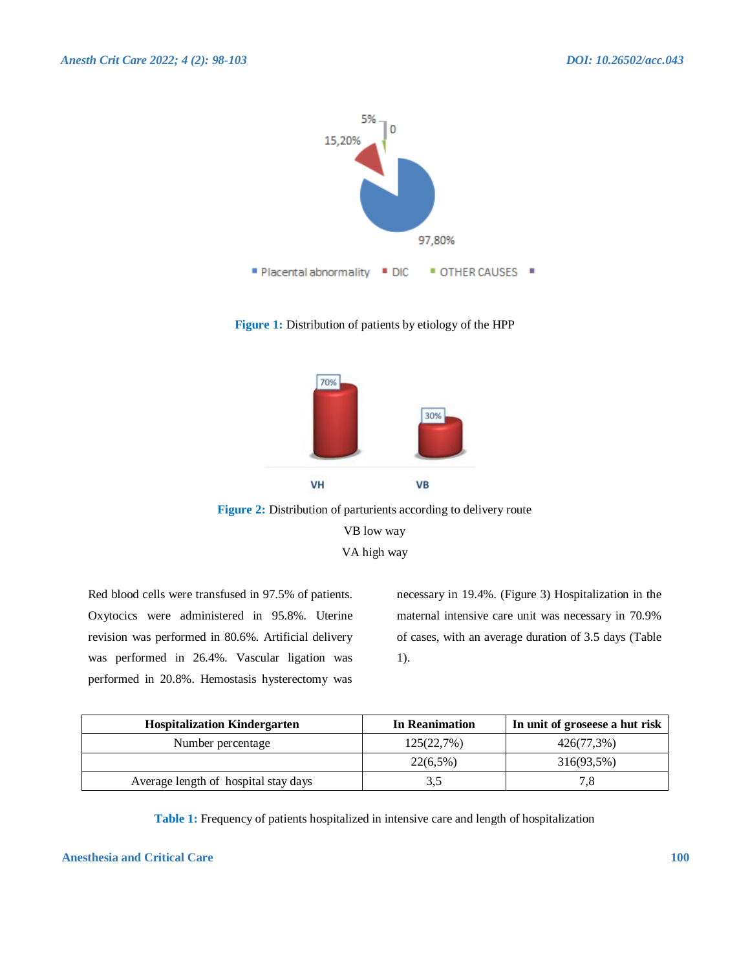

**Figure 1:** Distribution of patients by etiology of the HPP



**Figure 2:** Distribution of parturients according to delivery route VB low way VA high way

Red blood cells were transfused in 97.5% of patients. Oxytocics were administered in 95.8%. Uterine revision was performed in 80.6%. Artificial delivery was performed in 26.4%. Vascular ligation was performed in 20.8%. Hemostasis hysterectomy was

necessary in 19.4%. (Figure 3) Hospitalization in the maternal intensive care unit was necessary in 70.9% of cases, with an average duration of 3.5 days (Table 1).

| <b>Hospitalization Kindergarten</b>  | In Reanimation | In unit of groseese a hut risk |
|--------------------------------------|----------------|--------------------------------|
| Number percentage                    | 125(22,7%)     | 426(77,3%)                     |
|                                      | $22(6,5\%)$    | 316(93,5%)                     |
| Average length of hospital stay days | 3.5            |                                |

**Table 1:** Frequency of patients hospitalized in intensive care and length of hospitalization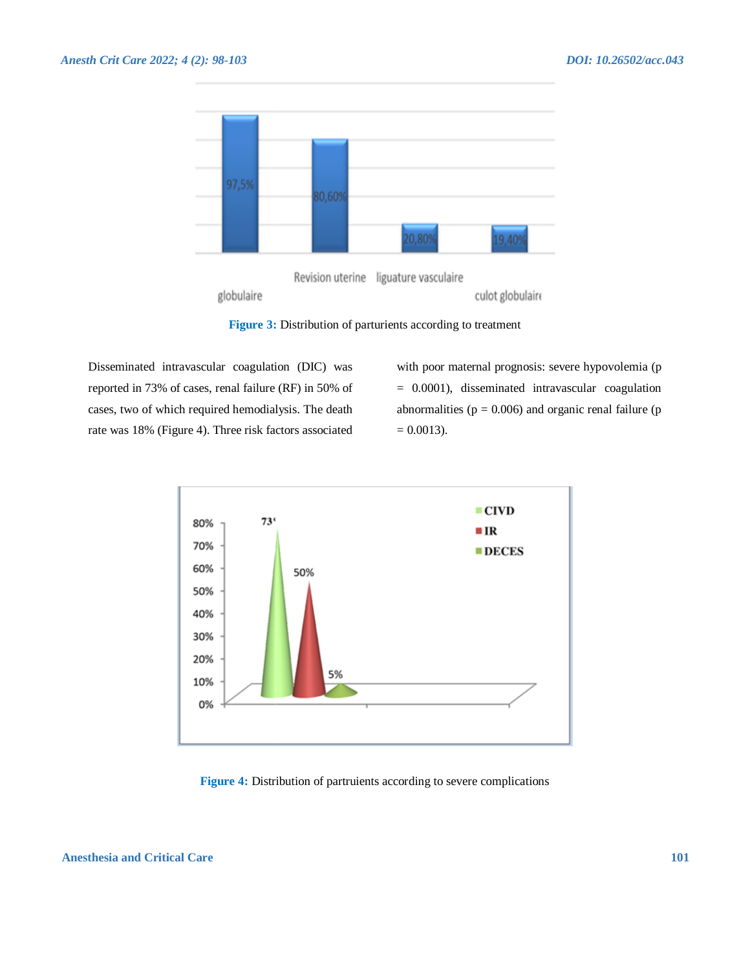



globulaire

**Figure 3:** Distribution of parturients according to treatment

Disseminated intravascular coagulation (DIC) was reported in 73% of cases, renal failure (RF) in 50% of cases, two of which required hemodialysis. The death rate was 18% (Figure 4). Three risk factors associated

with poor maternal prognosis: severe hypovolemia (p = 0.0001), disseminated intravascular coagulation abnormalities ( $p = 0.006$ ) and organic renal failure ( $p = 0.006$ )  $= 0.0013$ ).

culot globulaire



**Figure 4:** Distribution of partruients according to severe complications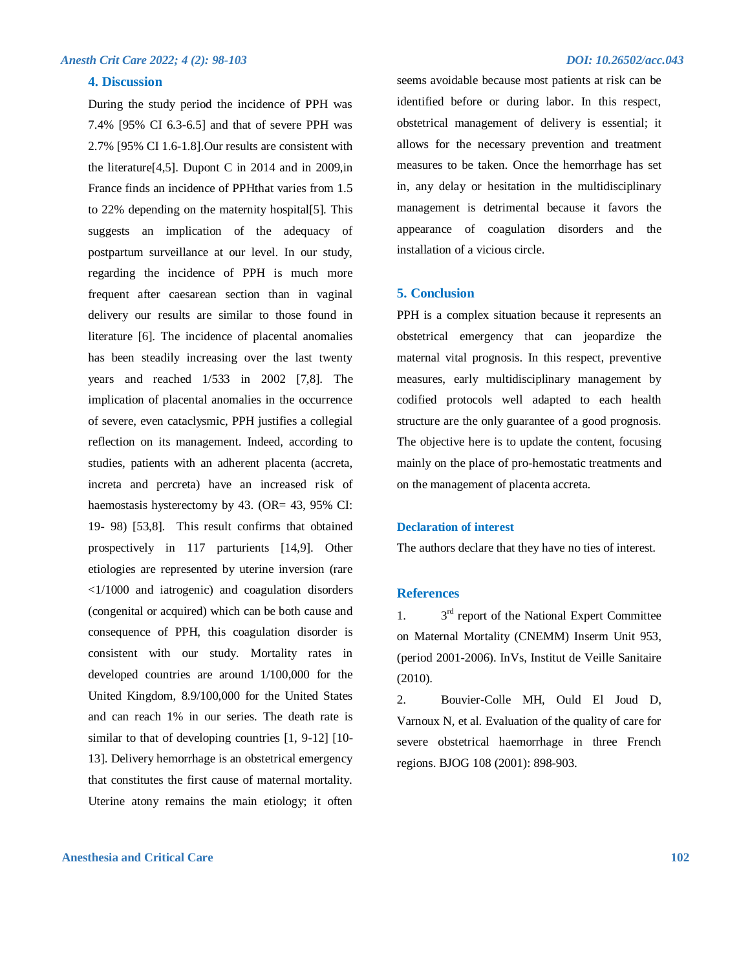#### *Anesth Crit Care 2022; 4 (2): 98-103 DOI: 10.26502/acc.043*

#### **4. Discussion**

During the study period the incidence of PPH was 7.4% [95% CI 6.3-6.5] and that of severe PPH was 2.7% [95% CI 1.6-1.8].Our results are consistent with the literature[4,5]. Dupont C in 2014 and in 2009,in France finds an incidence of PPHthat varies from 1.5 to 22% depending on the maternity hospital[5]. This suggests an implication of the adequacy of postpartum surveillance at our level. In our study, regarding the incidence of PPH is much more frequent after caesarean section than in vaginal delivery our results are similar to those found in literature [6]. The incidence of placental anomalies has been steadily increasing over the last twenty years and reached 1/533 in 2002 [7,8]. The implication of placental anomalies in the occurrence of severe, even cataclysmic, PPH justifies a collegial reflection on its management. Indeed, according to studies, patients with an adherent placenta (accreta, increta and percreta) have an increased risk of haemostasis hysterectomy by 43. (OR= 43, 95% CI: 19- 98) [53,8]. This result confirms that obtained prospectively in 117 parturients [14,9]. Other etiologies are represented by uterine inversion (rare <1/1000 and iatrogenic) and coagulation disorders (congenital or acquired) which can be both cause and consequence of PPH, this coagulation disorder is consistent with our study. Mortality rates in developed countries are around 1/100,000 for the United Kingdom, 8.9/100,000 for the United States and can reach 1% in our series. The death rate is similar to that of developing countries [1, 9-12] [10- 13]. Delivery hemorrhage is an obstetrical emergency that constitutes the first cause of maternal mortality. Uterine atony remains the main etiology; it often

seems avoidable because most patients at risk can be identified before or during labor. In this respect, obstetrical management of delivery is essential; it allows for the necessary prevention and treatment measures to be taken. Once the hemorrhage has set in, any delay or hesitation in the multidisciplinary management is detrimental because it favors the appearance of coagulation disorders and the installation of a vicious circle.

#### **5. Conclusion**

PPH is a complex situation because it represents an obstetrical emergency that can jeopardize the maternal vital prognosis. In this respect, preventive measures, early multidisciplinary management by codified protocols well adapted to each health structure are the only guarantee of a good prognosis. The objective here is to update the content, focusing mainly on the place of pro-hemostatic treatments and on the management of placenta accreta.

#### **Declaration of interest**

The authors declare that they have no ties of interest.

#### **References**

 $1<sub>1</sub>$  $3<sup>rd</sup>$  report of the National Expert Committee on Maternal Mortality (CNEMM) Inserm Unit 953, (period 2001-2006). InVs, Institut de Veille Sanitaire (2010).

2. Bouvier-Colle MH, Ould El Joud D, Varnoux N, et al. Evaluation of the quality of care for severe obstetrical haemorrhage in three French regions. BJOG 108 (2001): 898-903.